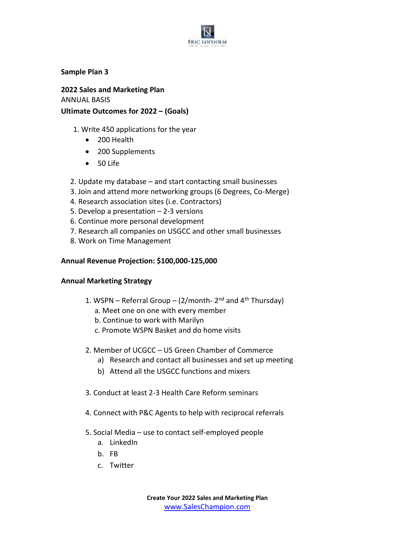

**Sample Plan 3**

**2022 Sales and Marketing Plan** ANNUAL BASIS **Ultimate Outcomes for 2022 – (Goals)**

- 1. Write 450 applications for the year
	- 200 Health
	- 200 Supplements
	- 50 Life
- 2. Update my database and start contacting small businesses
- 3. Join and attend more networking groups (6 Degrees, Co-Merge)
- 4. Research association sites (i.e. Contractors)
- 5. Develop a presentation 2-3 versions
- 6. Continue more personal development
- 7. Research all companies on USGCC and other small businesses
- 8. Work on Time Management

#### **Annual Revenue Projection: \$100,000-125,000**

#### **Annual Marketing Strategy**

- 1. WSPN Referral Group (2/month- 2<sup>nd</sup> and 4<sup>th</sup> Thursday)
	- a. Meet one on one with every member
	- b. Continue to work with Marilyn
	- c. Promote WSPN Basket and do home visits
- 2. Member of UCGCC US Green Chamber of Commerce
	- a) Research and contact all businesses and set up meeting
	- b) Attend all the USGCC functions and mixers
- 3. Conduct at least 2-3 Health Care Reform seminars
- 4. Connect with P&C Agents to help with reciprocal referrals
- 5. Social Media use to contact self-employed people
	- a. LinkedIn
	- b. FB
	- c. Twitter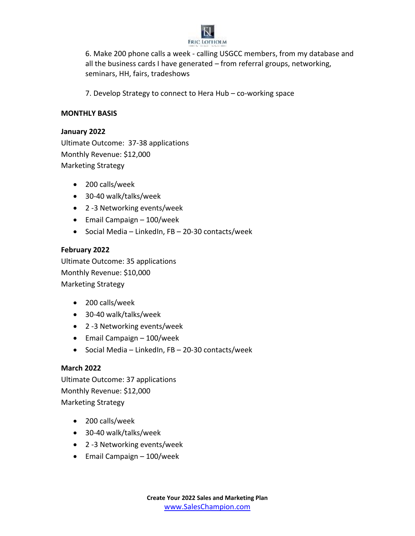

6. Make 200 phone calls a week - calling USGCC members, from my database and all the business cards I have generated – from referral groups, networking, seminars, HH, fairs, tradeshows

7. Develop Strategy to connect to Hera Hub – co-working space

## **MONTHLY BASIS**

#### **January 2022**

Ultimate Outcome: 37-38 applications Monthly Revenue: \$12,000 Marketing Strategy

- 200 calls/week
- 30-40 walk/talks/week
- 2 -3 Networking events/week
- Email Campaign 100/week
- Social Media LinkedIn, FB 20-30 contacts/week

## **February 2022**

Ultimate Outcome: 35 applications Monthly Revenue: \$10,000 Marketing Strategy

- 200 calls/week
- 30-40 walk/talks/week
- 2 -3 Networking events/week
- Email Campaign 100/week
- Social Media LinkedIn, FB 20-30 contacts/week

## **March 2022**

Ultimate Outcome: 37 applications Monthly Revenue: \$12,000 Marketing Strategy

- 200 calls/week
- 30-40 walk/talks/week
- 2 -3 Networking events/week
- Email Campaign 100/week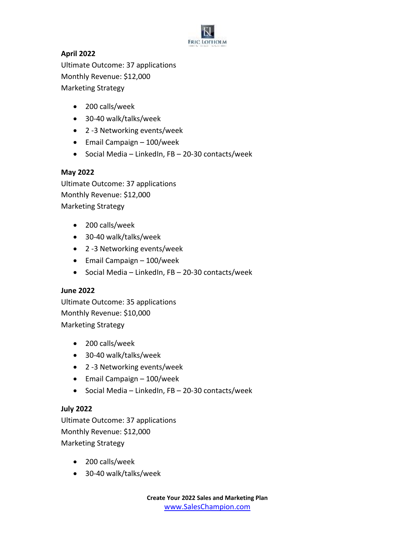

# **April 2022**

Ultimate Outcome: 37 applications Monthly Revenue: \$12,000 Marketing Strategy

- 200 calls/week
- 30-40 walk/talks/week
- 2 -3 Networking events/week
- Email Campaign 100/week
- Social Media LinkedIn, FB 20-30 contacts/week

### **May 2022**

Ultimate Outcome: 37 applications Monthly Revenue: \$12,000 Marketing Strategy

- 200 calls/week
- 30-40 walk/talks/week
- 2 -3 Networking events/week
- Email Campaign 100/week
- Social Media LinkedIn, FB 20-30 contacts/week

## **June 2022**

Ultimate Outcome: 35 applications Monthly Revenue: \$10,000 Marketing Strategy

- 200 calls/week
- 30-40 walk/talks/week
- 2 -3 Networking events/week
- Email Campaign 100/week
- Social Media LinkedIn, FB 20-30 contacts/week

## **July 2022**

Ultimate Outcome: 37 applications Monthly Revenue: \$12,000 Marketing Strategy

- 200 calls/week
- 30-40 walk/talks/week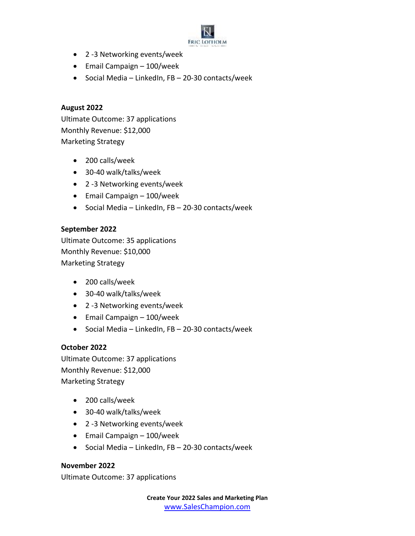

- 2 -3 Networking events/week
- Email Campaign 100/week
- Social Media LinkedIn, FB 20-30 contacts/week

## **August 2022**

Ultimate Outcome: 37 applications Monthly Revenue: \$12,000 Marketing Strategy

- 200 calls/week
- 30-40 walk/talks/week
- 2 -3 Networking events/week
- Email Campaign 100/week
- Social Media LinkedIn, FB 20-30 contacts/week

## **September 2022**

Ultimate Outcome: 35 applications Monthly Revenue: \$10,000 Marketing Strategy

- 200 calls/week
- 30-40 walk/talks/week
- 2 -3 Networking events/week
- Email Campaign 100/week
- Social Media LinkedIn, FB 20-30 contacts/week

## **October 2022**

Ultimate Outcome: 37 applications Monthly Revenue: \$12,000 Marketing Strategy

- 200 calls/week
- 30-40 walk/talks/week
- 2 -3 Networking events/week
- Email Campaign 100/week
- Social Media LinkedIn, FB 20-30 contacts/week

**November 2022** Ultimate Outcome: 37 applications